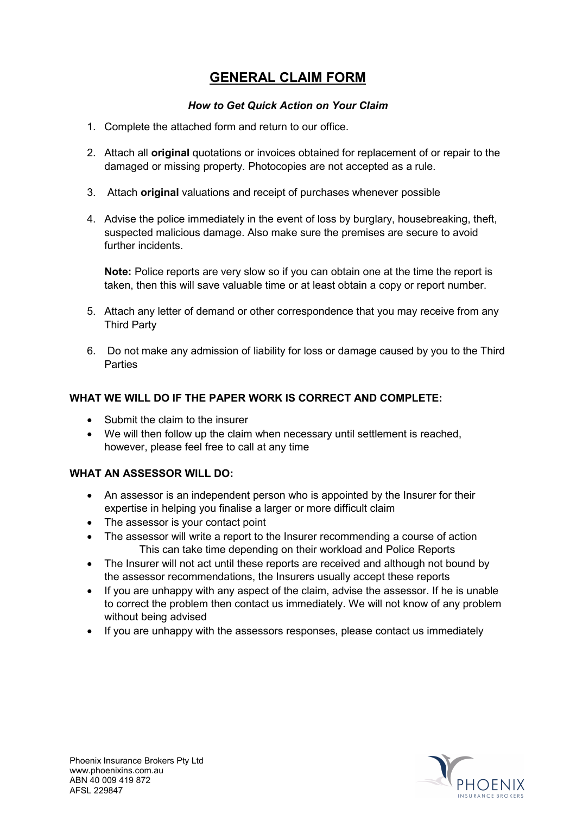# **GENERAL CLAIM FORM**

## *How to Get Quick Action on Your Claim*

- 1. Complete the attached form and return to our office.
- 2. Attach all **original** quotations or invoices obtained for replacement of or repair to the damaged or missing property. Photocopies are not accepted as a rule.
- 3. Attach **original** valuations and receipt of purchases whenever possible
- 4. Advise the police immediately in the event of loss by burglary, housebreaking, theft, suspected malicious damage. Also make sure the premises are secure to avoid further incidents.

**Note:** Police reports are very slow so if you can obtain one at the time the report is taken, then this will save valuable time or at least obtain a copy or report number.

- 5. Attach any letter of demand or other correspondence that you may receive from any Third Party
- 6. Do not make any admission of liability for loss or damage caused by you to the Third **Parties**

# **WHAT WE WILL DO IF THE PAPER WORK IS CORRECT AND COMPLETE:**

- Submit the claim to the insurer
- We will then follow up the claim when necessary until settlement is reached, however, please feel free to call at any time

# **WHAT AN ASSESSOR WILL DO:**

- An assessor is an independent person who is appointed by the Insurer for their expertise in helping you finalise a larger or more difficult claim
- The assessor is your contact point
- The assessor will write a report to the Insurer recommending a course of action This can take time depending on their workload and Police Reports
- The Insurer will not act until these reports are received and although not bound by the assessor recommendations, the Insurers usually accept these reports
- If you are unhappy with any aspect of the claim, advise the assessor. If he is unable to correct the problem then contact us immediately. We will not know of any problem without being advised
- If you are unhappy with the assessors responses, please contact us immediately

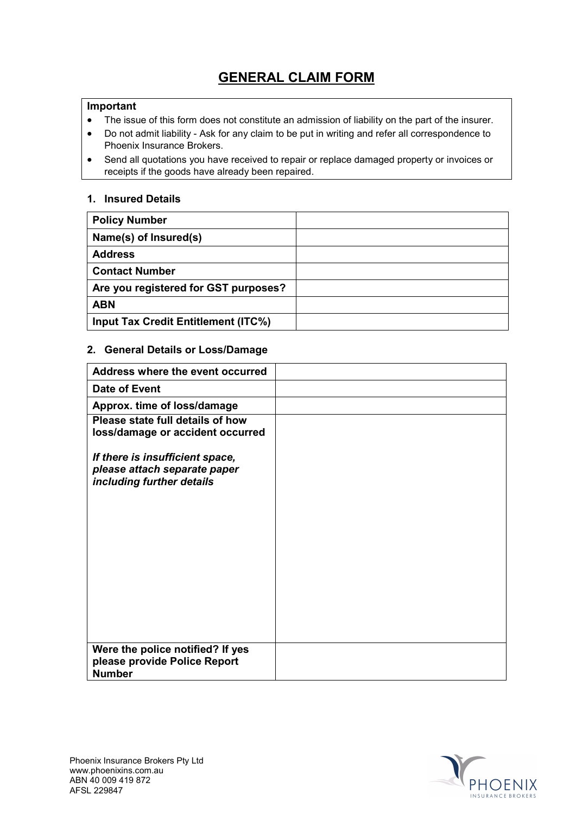# **GENERAL CLAIM FORM**

#### **Important**

- The issue of this form does not constitute an admission of liability on the part of the insurer.
- Do not admit liability Ask for any claim to be put in writing and refer all correspondence to Phoenix Insurance Brokers.
- Send all quotations you have received to repair or replace damaged property or invoices or receipts if the goods have already been repaired.

#### **1. Insured Details**

| <b>Policy Number</b>                 |  |
|--------------------------------------|--|
| Name(s) of Insured(s)                |  |
| <b>Address</b>                       |  |
| <b>Contact Number</b>                |  |
| Are you registered for GST purposes? |  |
| <b>ABN</b>                           |  |
| Input Tax Credit Entitlement (ITC%)  |  |

#### **2. General Details or Loss/Damage**

| Address where the event occurred                                                             |  |
|----------------------------------------------------------------------------------------------|--|
| Date of Event                                                                                |  |
| Approx. time of loss/damage                                                                  |  |
| Please state full details of how<br>loss/damage or accident occurred                         |  |
| If there is insufficient space,<br>please attach separate paper<br>including further details |  |
|                                                                                              |  |
| Were the police notified? If yes<br>please provide Police Report<br><b>Number</b>            |  |